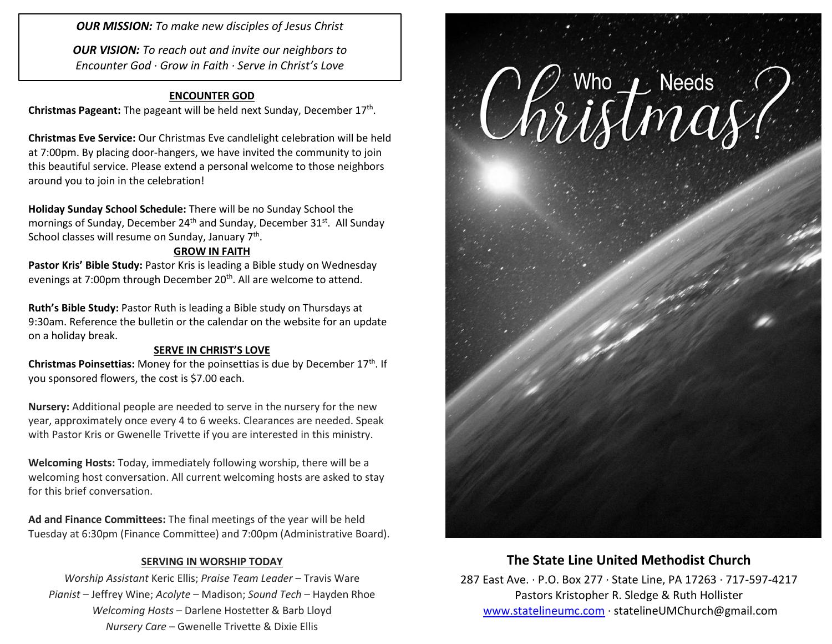*OUR MISSION: To make new disciples of Jesus Christ*

*OUR VISION: To reach out and invite our neighbors to Encounter God · Grow in Faith · Serve in Christ's Love*

### **ENCOUNTER GOD**

Christmas Pageant: The pageant will be held next Sunday, December 17<sup>th</sup>.

**Christmas Eve Service:** Our Christmas Eve candlelight celebration will be held at 7:00pm. By placing door-hangers, we have invited the community to join this beautiful service. Please extend a personal welcome to those neighbors around you to join in the celebration!

**Holiday Sunday School Schedule:** There will be no Sunday School the mornings of Sunday, December 24<sup>th</sup> and Sunday, December 31<sup>st</sup>. All Sunday School classes will resume on Sunday, January 7<sup>th</sup>.

#### **GROW IN FAITH**

Pastor Kris' Bible Study: Pastor Kris is leading a Bible study on Wednesday evenings at 7:00pm through December 20<sup>th</sup>. All are welcome to attend.

**Ruth's Bible Study:** Pastor Ruth is leading a Bible study on Thursdays at 9:30am. Reference the bulletin or the calendar on the website for an update on a holiday break.

#### **SERVE IN CHRIST'S LOVE**

**Christmas Poinsettias:** Money for the poinsettias is due by December 17th. If you sponsored flowers, the cost is \$7.00 each.

**Nursery:** Additional people are needed to serve in the nursery for the new year, approximately once every 4 to 6 weeks. Clearances are needed. Speak with Pastor Kris or Gwenelle Trivette if you are interested in this ministry.

**Welcoming Hosts:** Today, immediately following worship, there will be a welcoming host conversation. All current welcoming hosts are asked to stay for this brief conversation.

**Ad and Finance Committees:** The final meetings of the year will be held Tuesday at 6:30pm (Finance Committee) and 7:00pm (Administrative Board).

#### **SERVING IN WORSHIP TODAY**

*Worship Assistant* Keric Ellis; *Praise Team Leader* – Travis Ware *Pianist* – Jeffrey Wine; *Acolyte* – Madison; *Sound Tech* – Hayden Rhoe *Welcoming Hosts* – Darlene Hostetter & Barb Lloyd *Nursery Care* – Gwenelle Trivette & Dixie Ellis



## **The State Line United Methodist Church**

287 East Ave. · P.O. Box 277 · State Line, PA 17263 · 717-597-4217 Pastors Kristopher R. Sledge & Ruth Hollister [www.statelineumc.com](http://www.statelineumc.com/) · statelineUMChurch@gmail.com